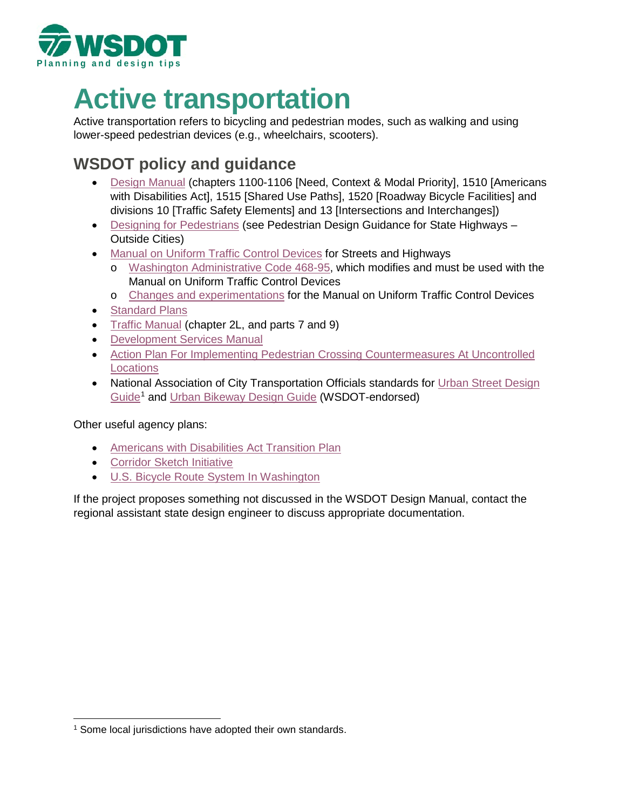

# **Active transportation**

Active transportation refers to bicycling and pedestrian modes, such as walking and using lower-speed pedestrian devices (e.g., wheelchairs, scooters).

# **WSDOT policy and guidance**

- [Design Manual](http://www.wsdot.wa.gov/Publications/Manuals/M22-01.htm) (chapters 1100-1106 [Need, Context & Modal Priority], 1510 [Americans with Disabilities Act], 1515 [Shared Use Paths], 1520 [Roadway Bicycle Facilities] and divisions 10 [Traffic Safety Elements] and 13 [Intersections and Interchanges])
- [Designing for Pedestrians](https://www.wsdot.wa.gov/travel/commute-choices/walk/designing) (see Pedestrian Design Guidance for State Highways Outside Cities)
- [Manual on Uniform Traffic Control Devices](https://www.wsdot.wa.gov/Operations/Traffic/mutcd.htm) for Streets and Highways
	- o [Washington Administrative Code 468-95,](https://app.leg.wa.gov/WAC/default.aspx?cite=468-95) which modifies and must be used with the Manual on Uniform Traffic Control Devices
	- o [Changes and experimentations](https://www.wsdot.wa.gov/LocalPrograms/Traffic/MUTCDChangesExperiments.htm) for the Manual on Uniform Traffic Control Devices
- [Standard Plans](https://www.wsdot.wa.gov/Design/Standards)
- [Traffic Manual](https://www.wsdot.wa.gov/Publications/Manuals/M51-02.htm) (chapter 2L, and parts 7 and 9)
- [Development Services Manual](https://www.wsdot.wa.gov/Publications/Manuals/M3007.htm)
- [Action Plan For Implementing Pedestrian Crossing Countermeasures At Uncontrolled](http://www.wsdot.wa.gov/sites/default/files/2019/02/19/WSDOT-STEP-ActionPlan_FINAL-Dec2018.pdf)  **[Locations](http://www.wsdot.wa.gov/sites/default/files/2019/02/19/WSDOT-STEP-ActionPlan_FINAL-Dec2018.pdf)**
- National Association of City Transportation Officials standards for Urban Street Design [Guide](https://nacto.org/publication/urban-street-design-guide/)[1](#page-0-0) and [Urban Bikeway Design Guide](https://nacto.org/publication/urban-bikeway-design-guide/) (WSDOT-endorsed)

Other useful agency plans:

- [Americans with Disabilities Act](http://www.wsdot.wa.gov/EqualOpportunity/ADA.htm) Transition Plan
- [Corridor Sketch Initiative](https://www.wsdot.wa.gov/planning/corridor-sketch-initiative)
- [U.S. Bicycle Route System In Washington](https://www.wsdot.wa.gov/travel/commute-choices/bike/us-bicycle-route-system-washington)

If the project proposes something not discussed in the WSDOT Design Manual, contact the regional assistant state design engineer to discuss appropriate documentation.

<span id="page-0-0"></span> $\overline{a}$ <sup>1</sup> Some local jurisdictions have adopted their own standards.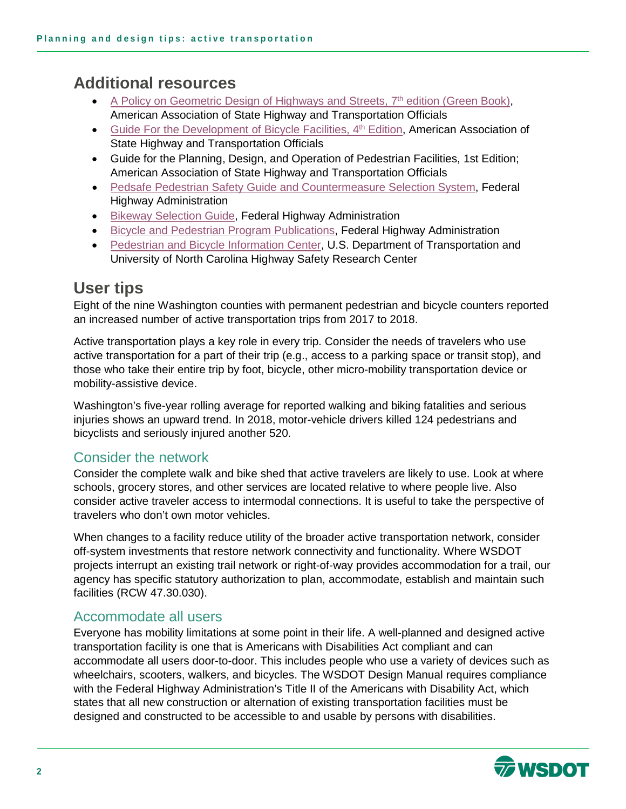# **Additional resources**

- A Policy on Geometric Design of Highways and Streets, 7<sup>th</sup> edition (Green Book), American Association of State Highway and Transportation Officials
- Guide For the Development of Bicycle Facilities, 4<sup>th</sup> Edition, American Association of State Highway and Transportation Officials
- Guide for the Planning, Design, and Operation of Pedestrian Facilities, 1st Edition; American Association of State Highway and Transportation Officials
- [Pedsafe Pedestrian Safety Guide and Countermeasure Selection System,](http://www.pedbikesafe.org/pedsafe/index.cfm) Federal Highway Administration
- [Bikeway Selection Guide,](https://safety.fhwa.dot.gov/ped_bike/tools_solve/docs/fhwasa18077.pdf) Federal Highway Administration
- [Bicycle and Pedestrian Program Publications,](https://www.fhwa.dot.gov/environment/bicycle_pedestrian/publications/) Federal Highway Administration
- [Pedestrian and Bicycle Information Center,](http://www.pedbikeinfo.org/resources/) U.S. Department of Transportation and University of North Carolina Highway Safety Research Center

## **User tips**

Eight of the nine Washington counties with permanent pedestrian and bicycle counters reported an increased number of active transportation trips from 2017 to 2018.

Active transportation plays a key role in every trip. Consider the needs of travelers who use active transportation for a part of their trip (e.g., access to a parking space or transit stop), and those who take their entire trip by foot, bicycle, other micro-mobility transportation device or mobility-assistive device.

Washington's five-year rolling average for reported walking and biking fatalities and serious injuries shows an upward trend. In 2018, motor-vehicle drivers killed 124 pedestrians and bicyclists and seriously injured another 520.

### Consider the network

Consider the complete walk and bike shed that active travelers are likely to use. Look at where schools, grocery stores, and other services are located relative to where people live. Also consider active traveler access to intermodal connections. It is useful to take the perspective of travelers who don't own motor vehicles.

When changes to a facility reduce utility of the broader active transportation network, consider off-system investments that restore network connectivity and functionality. Where WSDOT projects interrupt an existing trail network or right-of-way provides accommodation for a trail, our agency has specific statutory authorization to plan, accommodate, establish and maintain such facilities (RCW 47.30.030).

### Accommodate all users

Everyone has mobility limitations at some point in their life. A well-planned and designed active transportation facility is one that is Americans with Disabilities Act compliant and can accommodate all users door-to-door. This includes people who use a variety of devices such as wheelchairs, scooters, walkers, and bicycles. The WSDOT Design Manual requires compliance with the Federal Highway Administration's Title II of the Americans with Disability Act, which states that all new construction or alternation of existing transportation facilities must be designed and constructed to be accessible to and usable by persons with disabilities.

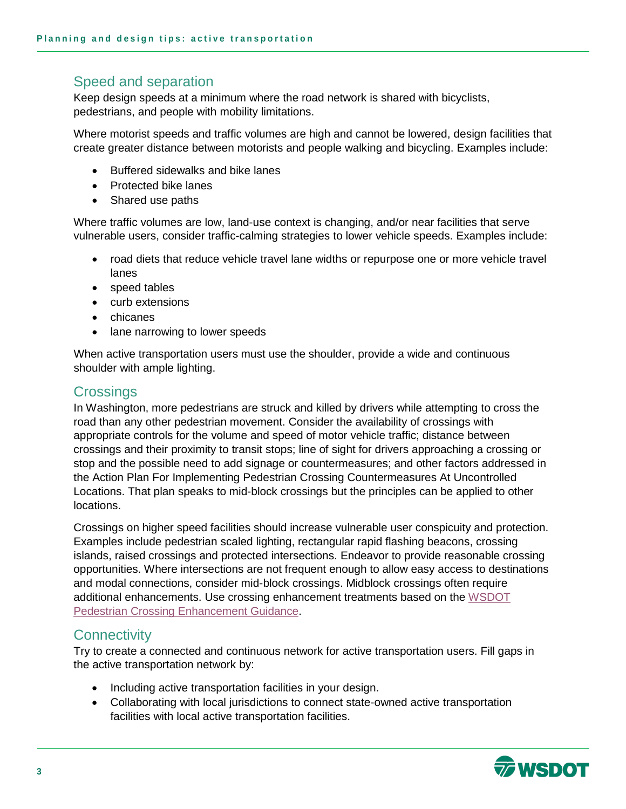### Speed and separation

Keep design speeds at a minimum where the road network is shared with bicyclists, pedestrians, and people with mobility limitations.

Where motorist speeds and traffic volumes are high and cannot be lowered, design facilities that create greater distance between motorists and people walking and bicycling. Examples include:

- Buffered sidewalks and bike lanes
- Protected bike lanes
- Shared use paths

Where traffic volumes are low, land-use context is changing, and/or near facilities that serve vulnerable users, consider traffic-calming strategies to lower vehicle speeds. Examples include:

- road diets that reduce vehicle travel lane widths or repurpose one or more vehicle travel lanes
- speed tables
- curb extensions
- chicanes
- lane narrowing to lower speeds

When active transportation users must use the shoulder, provide a wide and continuous shoulder with ample lighting.

#### **Crossings**

In Washington, more pedestrians are struck and killed by drivers while attempting to cross the road than any other pedestrian movement. Consider the availability of crossings with appropriate controls for the volume and speed of motor vehicle traffic; distance between crossings and their proximity to transit stops; line of sight for drivers approaching a crossing or stop and the possible need to add signage or countermeasures; and other factors addressed in the Action Plan For Implementing Pedestrian Crossing Countermeasures At Uncontrolled Locations. That plan speaks to mid-block crossings but the principles can be applied to other locations.

Crossings on higher speed facilities should increase vulnerable user conspicuity and protection. Examples include pedestrian scaled lighting, rectangular rapid flashing beacons, crossing islands, raised crossings and protected intersections. Endeavor to provide reasonable crossing opportunities. Where intersections are not frequent enough to allow easy access to destinations and modal connections, consider mid-block crossings. Midblock crossings often require additional enhancements. Use crossing enhancement treatments based on the [WSDOT](https://www.wsdot.wa.gov/sites/default/files/2019/10/16/Uncontrolled_Ped_Crossing_Guidance.pdf)  [Pedestrian Crossing Enhancement Guidance.](https://www.wsdot.wa.gov/sites/default/files/2019/10/16/Uncontrolled_Ped_Crossing_Guidance.pdf)

### **Connectivity**

Try to create a connected and continuous network for active transportation users. Fill gaps in the active transportation network by:

- Including active transportation facilities in your design.
- Collaborating with local jurisdictions to connect state-owned active transportation facilities with local active transportation facilities.